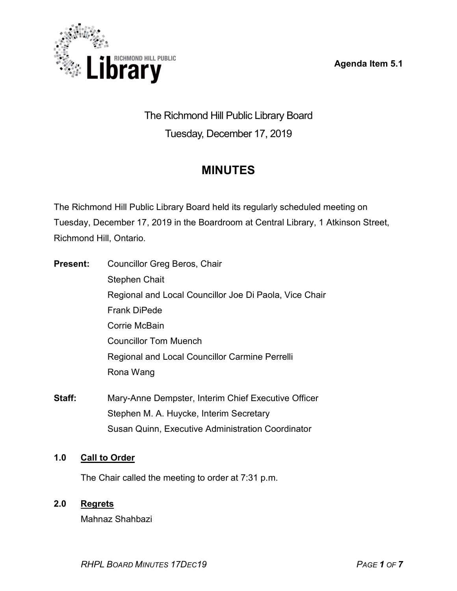Agenda Item 5.1



The Richmond Hill Public Library Board Tuesday, December 17, 2019

# **MINUTES**

The Richmond Hill Public Library Board held its regularly scheduled meeting on Tuesday, December 17, 2019 in the Boardroom at Central Library, 1 Atkinson Street, Richmond Hill, Ontario.

| <b>Present:</b> | Councillor Greg Beros, Chair                           |
|-----------------|--------------------------------------------------------|
|                 | <b>Stephen Chait</b>                                   |
|                 | Regional and Local Councillor Joe Di Paola, Vice Chair |
|                 | <b>Frank DiPede</b>                                    |
|                 | Corrie McBain                                          |
|                 | <b>Councillor Tom Muench</b>                           |
|                 | Regional and Local Councillor Carmine Perrelli         |
|                 | Rona Wang                                              |
|                 |                                                        |

Staff: Mary-Anne Dempster, Interim Chief Executive Officer Stephen M. A. Huycke, Interim Secretary Susan Quinn, Executive Administration Coordinator

# 1.0 Call to Order

The Chair called the meeting to order at 7:31 p.m.

# 2.0 Regrets

Mahnaz Shahbazi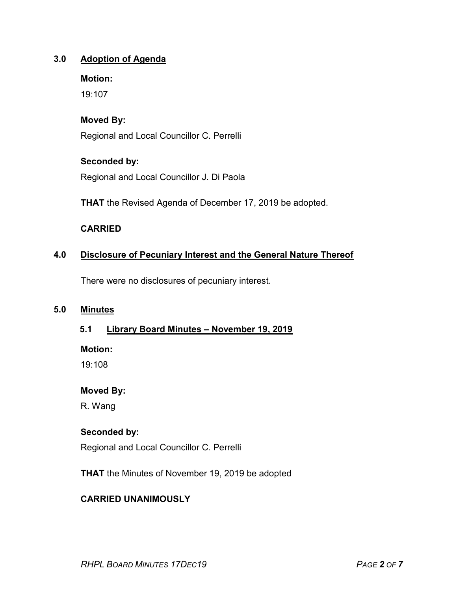# 3.0 Adoption of Agenda

#### Motion:

19:107

## Moved By:

Regional and Local Councillor C. Perrelli

## Seconded by:

Regional and Local Councillor J. Di Paola

THAT the Revised Agenda of December 17, 2019 be adopted.

## CARRIED

# 4.0 Disclosure of Pecuniary Interest and the General Nature Thereof

There were no disclosures of pecuniary interest.

## 5.0 Minutes

#### 5.1 Library Board Minutes – November 19, 2019

Motion:

19:108

#### Moved By:

R. Wang

#### Seconded by:

Regional and Local Councillor C. Perrelli

THAT the Minutes of November 19, 2019 be adopted

# CARRIED UNANIMOUSLY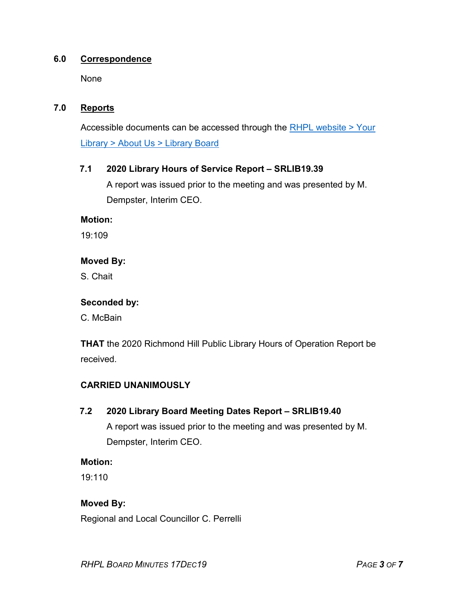## 6.0 Correspondence

None

## 7.0 Reports

Accessible documents can be accessed through the RHPL website > Your Library > About Us > Library Board

## 7.1 2020 Library Hours of Service Report – SRLIB19.39

A report was issued prior to the meeting and was presented by M. Dempster, Interim CEO.

#### Motion:

19:109

## Moved By:

S. Chait

#### Seconded by:

C. McBain

THAT the 2020 Richmond Hill Public Library Hours of Operation Report be received.

# CARRIED UNANIMOUSLY

# 7.2 2020 Library Board Meeting Dates Report – SRLIB19.40

A report was issued prior to the meeting and was presented by M. Dempster, Interim CEO.

#### Motion:

19:110

# Moved By:

Regional and Local Councillor C. Perrelli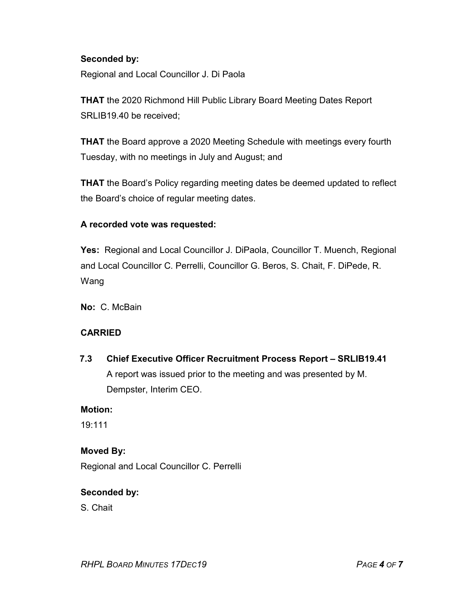## Seconded by:

Regional and Local Councillor J. Di Paola

**THAT** the 2020 Richmond Hill Public Library Board Meeting Dates Report SRLIB19.40 be received;

THAT the Board approve a 2020 Meeting Schedule with meetings every fourth Tuesday, with no meetings in July and August; and

THAT the Board's Policy regarding meeting dates be deemed updated to reflect the Board's choice of regular meeting dates.

## A recorded vote was requested:

Yes: Regional and Local Councillor J. DiPaola, Councillor T. Muench, Regional and Local Councillor C. Perrelli, Councillor G. Beros, S. Chait, F. DiPede, R. Wang

No: C. McBain

#### CARRIED

7.3 Chief Executive Officer Recruitment Process Report – SRLIB19.41 A report was issued prior to the meeting and was presented by M. Dempster, Interim CEO.

#### Motion:

19:111

# Moved By:

Regional and Local Councillor C. Perrelli

# Seconded by:

S. Chait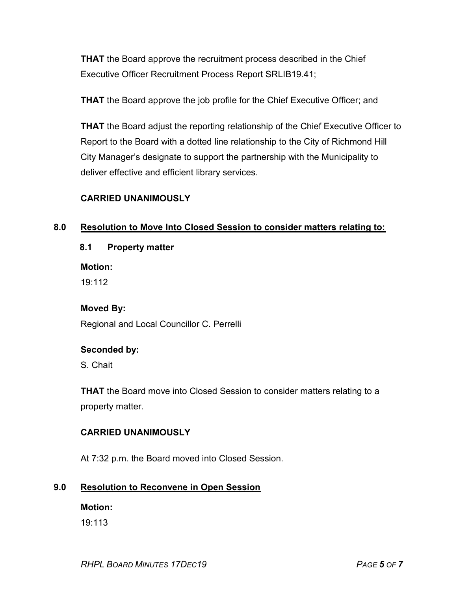THAT the Board approve the recruitment process described in the Chief Executive Officer Recruitment Process Report SRLIB19.41;

**THAT** the Board approve the job profile for the Chief Executive Officer; and

THAT the Board adjust the reporting relationship of the Chief Executive Officer to Report to the Board with a dotted line relationship to the City of Richmond Hill City Manager's designate to support the partnership with the Municipality to deliver effective and efficient library services.

# CARRIED UNANIMOUSLY

# 8.0 Resolution to Move Into Closed Session to consider matters relating to:

8.1 Property matter

Motion:

19:112

# Moved By:

Regional and Local Councillor C. Perrelli

# Seconded by:

S. Chait

THAT the Board move into Closed Session to consider matters relating to a property matter.

# CARRIED UNANIMOUSLY

At 7:32 p.m. the Board moved into Closed Session.

# 9.0 Resolution to Reconvene in Open Session

Motion:

19:113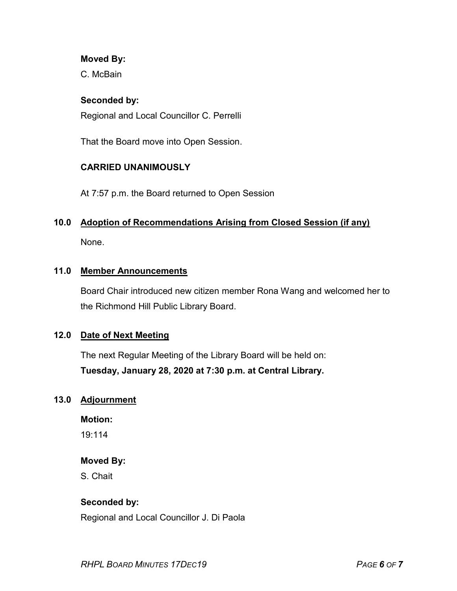#### Moved By:

C. McBain

#### Seconded by:

Regional and Local Councillor C. Perrelli

That the Board move into Open Session.

# CARRIED UNANIMOUSLY

At 7:57 p.m. the Board returned to Open Session

#### 10.0 Adoption of Recommendations Arising from Closed Session (if any)

None.

## 11.0 Member Announcements

Board Chair introduced new citizen member Rona Wang and welcomed her to the Richmond Hill Public Library Board.

#### 12.0 Date of Next Meeting

The next Regular Meeting of the Library Board will be held on: Tuesday, January 28, 2020 at 7:30 p.m. at Central Library.

#### 13.0 Adjournment

Motion:

19:114

#### Moved By:

S. Chait

#### Seconded by:

Regional and Local Councillor J. Di Paola